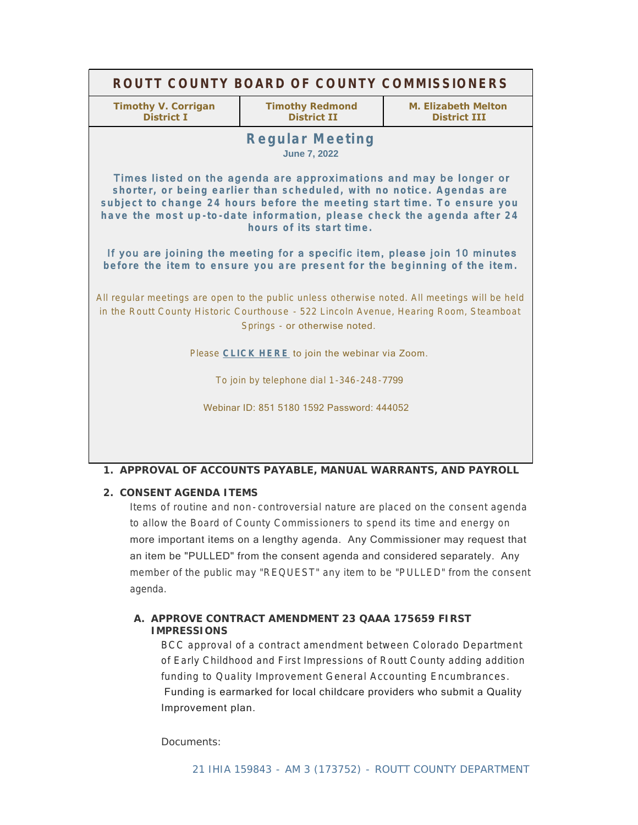| ROUTT COUNTY BOARD OF COUNTY COMMISSIONERS                                                                                                                                                                                                                                                                                                                                                                 |                                              |                                            |
|------------------------------------------------------------------------------------------------------------------------------------------------------------------------------------------------------------------------------------------------------------------------------------------------------------------------------------------------------------------------------------------------------------|----------------------------------------------|--------------------------------------------|
| <b>Timothy V. Corrigan</b><br><b>District I</b>                                                                                                                                                                                                                                                                                                                                                            | <b>Timothy Redmond</b><br><b>District II</b> | M. Elizabeth Melton<br><b>District III</b> |
| <b>Regular Meeting</b><br><b>June 7, 2022</b>                                                                                                                                                                                                                                                                                                                                                              |                                              |                                            |
| Times listed on the agenda are approximations and may be longer or<br>shorter, or being earlier than scheduled, with no notice. Agendas are<br>subject to change 24 hours before the meeting start time. To ensure you<br>have the most up-to-date information, please check the agenda after 24<br>hours of its start time.<br>If you are joining the meeting for a specific item, please join 10 minutes |                                              |                                            |
| before the item to ensure you are present for the beginning of the item.                                                                                                                                                                                                                                                                                                                                   |                                              |                                            |
| All regular meetings are open to the public unless otherwise noted. All meetings will be held<br>in the Routt County Historic Courthouse - 522 Lincoln Avenue, Hearing Room, Steamboat<br>Springs - or otherwise noted.                                                                                                                                                                                    |                                              |                                            |
| Please CLICK HERE to join the webinar via Zoom.                                                                                                                                                                                                                                                                                                                                                            |                                              |                                            |
| To join by telephone dial 1-346-248-7799                                                                                                                                                                                                                                                                                                                                                                   |                                              |                                            |
| Webinar ID: 851 5180 1592 Password: 444052                                                                                                                                                                                                                                                                                                                                                                 |                                              |                                            |
|                                                                                                                                                                                                                                                                                                                                                                                                            |                                              |                                            |

## **APPROVAL OF ACCOUNTS PAYABLE, MANUAL WARRANTS, AND PAYROLL 1.**

## **CONSENT AGENDA ITEMS 2.**

Items of routine and non- controversial nature are placed on the consent agenda to allow the Board of County Commissioners to spend its time and energy on more important items on a lengthy agenda. Any Commissioner may request that an item be "PULLED" from the consent agenda and considered separately. Any member of the public may "REQUEST" any item to be "PULLED" from the consent agenda.

# A. APPROVE CONTRACT AMENDMENT 23 QAAA 175659 FIRST **IMPRESSIONS**

BCC approval of a contract amendment between Colorado Department of Early Childhood and First Impressions of Routt County adding addition funding to Quality Improvement General Accounting Encumbrances. Funding is earmarked for local childcare providers who submit a Quality Improvement plan.

Documents: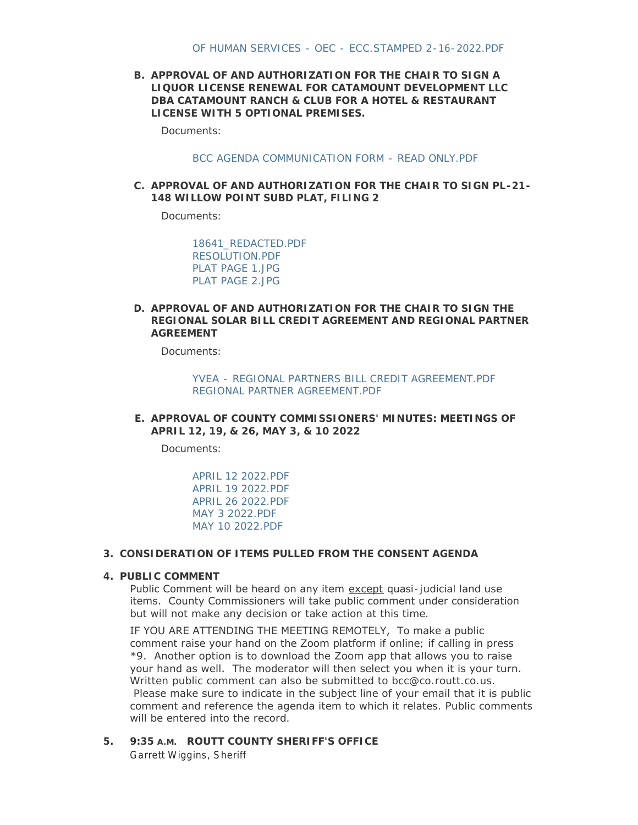**APPROVAL OF AND AUTHORIZATION FOR THE CHAIR TO SIGN A B. LIQUOR LICENSE RENEWAL FOR CATAMOUNT DEVELOPMENT LLC DBA CATAMOUNT RANCH & CLUB FOR A HOTEL & RESTAURANT LICENSE WITH 5 OPTIONAL PREMISES.**

Documents:

#### BCC AGENDA COMMUNICATION FORM - READ ONLY PDF

**APPROVAL OF AND AUTHORIZATION FOR THE CHAIR TO SIGN PL-21- C. 148 WILLOW POINT SUBD PLAT, FILING 2**

Documents:

[18641\\_REDACTED.PDF](http://www.co.routt.co.us/AgendaCenter/ViewFile/Item/18641?fileID=16719) [RESOLUTION.PDF](http://www.co.routt.co.us/AgendaCenter/ViewFile/Item/18641?fileID=16668) [PLAT PAGE 1.JPG](http://www.co.routt.co.us/AgendaCenter/ViewFile/Item/18641?fileID=16669) [PLAT PAGE 2.JPG](http://www.co.routt.co.us/AgendaCenter/ViewFile/Item/18641?fileID=16670)

### **APPROVAL OF AND AUTHORIZATION FOR THE CHAIR TO SIGN THE D. REGIONAL SOLAR BILL CREDIT AGREEMENT AND REGIONAL PARTNER AGREEMENT**

Documents:

[YVEA - REGIONAL PARTNERS BILL CREDIT AGREEMENT.PDF](http://www.co.routt.co.us/AgendaCenter/ViewFile/Item/18677?fileID=16710) [REGIONAL PARTNER AGREEMENT.PDF](http://www.co.routt.co.us/AgendaCenter/ViewFile/Item/18677?fileID=16709)

**APPROVAL OF COUNTY COMMISSIONERS' MINUTES: MEETINGS OF E. APRIL 12, 19, & 26, MAY 3, & 10 2022**

Documents:

[APRIL 12 2022.PDF](http://www.co.routt.co.us/AgendaCenter/ViewFile/Item/18526?fileID=16715) [APRIL 19 2022.PDF](http://www.co.routt.co.us/AgendaCenter/ViewFile/Item/18526?fileID=16716) [APRIL 26 2022.PDF](http://www.co.routt.co.us/AgendaCenter/ViewFile/Item/18526?fileID=16691) [MAY 3 2022.PDF](http://www.co.routt.co.us/AgendaCenter/ViewFile/Item/18526?fileID=16694) [MAY 10 2022.PDF](http://www.co.routt.co.us/AgendaCenter/ViewFile/Item/18526?fileID=16695)

#### **CONSIDERATION OF ITEMS PULLED FROM THE CONSENT AGENDA 3.**

#### **PUBLIC COMMENT 4.**

Public Comment will be heard on any item except quasi-judicial land use items. County Commissioners will take public comment under consideration but will not make any decision or take action at this time.

IF YOU ARE ATTENDING THE MEETING REMOTELY, To make a public comment raise your hand on the Zoom platform if online; if calling in press \*9. Another option is to download the Zoom app that allows you to raise your hand as well. The moderator will then select you when it is your turn. Written public comment can also be submitted to bcc@co.routt.co.us. Please make sure to indicate in the subject line of your email that it is public comment and reference the agenda item to which it relates. Public comments will be entered into the record.

**ROUTT COUNTY SHERIFF'S OFFICE 5. 9:35 A.M.** Garrett Wiggins, Sheriff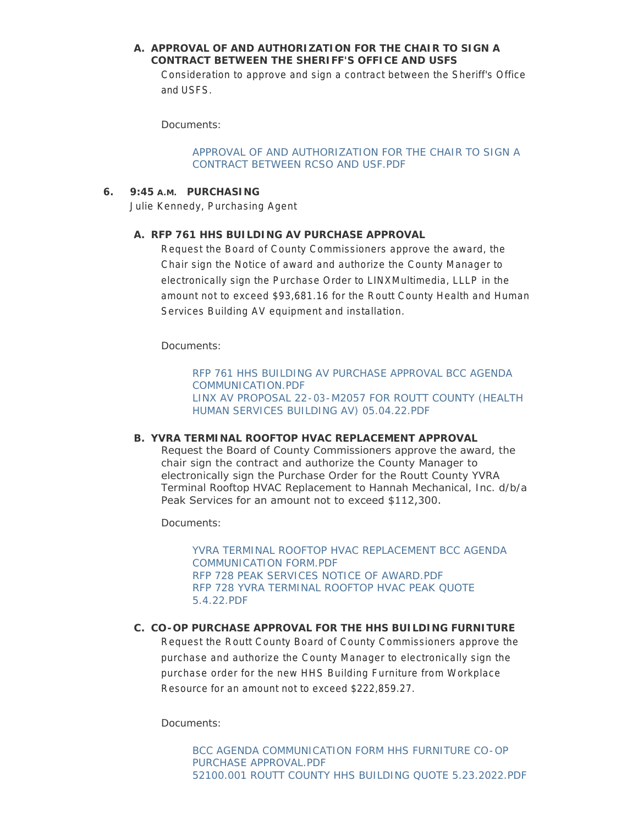## A. APPROVAL OF AND AUTHORIZATION FOR THE CHAIR TO SIGN A **CONTRACT BETWEEN THE SHERIFF'S OFFICE AND USFS**

Consideration to approve and sign a contract between the Sheriff's Office and USFS.

Documents:

[APPROVAL OF AND AUTHORIZATION FOR THE CHAIR TO SIGN A](http://www.co.routt.co.us/AgendaCenter/ViewFile/Item/18627?fileID=16641)  CONTRACT BETWEEN RCSO AND USF.PDF

### **PURCHASING 6. 9:45 A.M.**

Julie Kennedy, Purchasing Agent

## **RFP 761 HHS BUILDING AV PURCHASE APPROVAL A.**

Request the Board of County Commissioners approve the award, the Chair sign the Notice of award and authorize the County Manager to electronically sign the Purchase Order to LINXMultimedia, LLLP in the amount not to exceed \$93,681.16 for the Routt County Health and Human Services Building AV equipment and installation.

Documents:

[RFP 761 HHS BUILDING AV PURCHASE APPROVAL BCC AGENDA](http://www.co.routt.co.us/AgendaCenter/ViewFile/Item/18649?fileID=16680)  COMMUNICATION.PDF [LINX AV PROPOSAL 22-03-M2057 FOR ROUTT COUNTY \(HEALTH](http://www.co.routt.co.us/AgendaCenter/ViewFile/Item/18649?fileID=16681)  HUMAN SERVICES BUILDING AV) 05.04.22.PDF

### **YVRA TERMINAL ROOFTOP HVAC REPLACEMENT APPROVAL B.**

Request the Board of County Commissioners approve the award, the chair sign the contract and authorize the County Manager to electronically sign the Purchase Order for the Routt County YVRA Terminal Rooftop HVAC Replacement to Hannah Mechanical, Inc. d/b/a Peak Services for an amount not to exceed \$112,300.

Documents:

[YVRA TERMINAL ROOFTOP HVAC REPLACEMENT BCC AGENDA](http://www.co.routt.co.us/AgendaCenter/ViewFile/Item/18650?fileID=16713)  COMMUNICATION FORM.PDF [RFP 728 PEAK SERVICES NOTICE OF AWARD.PDF](http://www.co.routt.co.us/AgendaCenter/ViewFile/Item/18650?fileID=16683) [RFP 728 YVRA TERMINAL ROOFTOP HVAC PEAK QUOTE](http://www.co.routt.co.us/AgendaCenter/ViewFile/Item/18650?fileID=16684)  5.4.22.PDF

### C. CO-OP PURCHASE APPROVAL FOR THE HHS BUILDING FURNITURE

Request the Routt County Board of County Commissioners approve the purchase and authorize the County Manager to electronically sign the purchase order for the new HHS Building Furniture from Workplace Resource for an amount not to exceed \$222,859.27.

Documents: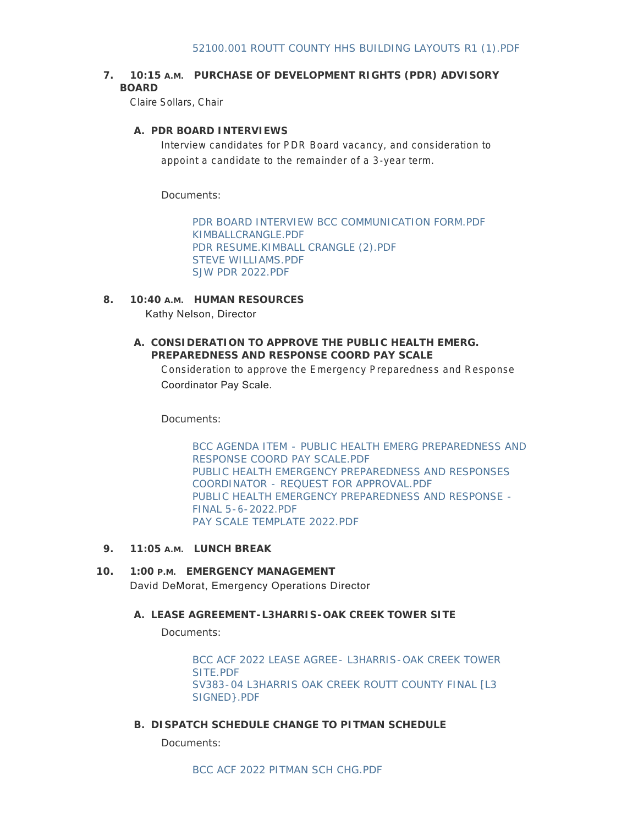# **7. 10:15 A.M. PURCHASE OF DEVELOPMENT RIGHTS (PDR) ADVISORY BOARD**

Claire Sollars, Chair

## **PDR BOARD INTERVIEWS A.**

Interview candidates for PDR Board vacancy, and consideration to appoint a candidate to the remainder of a 3-year term.

Documents:

[PDR BOARD INTERVIEW BCC COMMUNICATION FORM.PDF](http://www.co.routt.co.us/AgendaCenter/ViewFile/Item/18633?fileID=16673) [KIMBALLCRANGLE.PDF](http://www.co.routt.co.us/AgendaCenter/ViewFile/Item/18633?fileID=16652) [PDR RESUME.KIMBALL CRANGLE \(2\).PDF](http://www.co.routt.co.us/AgendaCenter/ViewFile/Item/18633?fileID=16651) [STEVE WILLIAMS.PDF](http://www.co.routt.co.us/AgendaCenter/ViewFile/Item/18633?fileID=16671) [SJW PDR 2022.PDF](http://www.co.routt.co.us/AgendaCenter/ViewFile/Item/18633?fileID=16672)

- **HUMAN RESOURCES 8. 10:40 A.M.** Kathy Nelson, Director
	- **CONSIDERATION TO APPROVE THE PUBLIC HEALTH EMERG. A. PREPAREDNESS AND RESPONSE COORD PAY SCALE**

Consideration to approve the Emergency Preparedness and Response Coordinator Pay Scale.

Documents:

[BCC AGENDA ITEM - PUBLIC HEALTH EMERG PREPAREDNESS AND](http://www.co.routt.co.us/AgendaCenter/ViewFile/Item/18636?fileID=16662)  RESPONSE COORD PAY SCALE.PDF [PUBLIC HEALTH EMERGENCY PREPAREDNESS AND RESPONSES](http://www.co.routt.co.us/AgendaCenter/ViewFile/Item/18636?fileID=16661)  COORDINATOR - REQUEST FOR APPROVAL.PDF [PUBLIC HEALTH EMERGENCY PREPAREDNESS AND RESPONSE -](http://www.co.routt.co.us/AgendaCenter/ViewFile/Item/18636?fileID=16660) FINAL 5-6-2022.PDF [PAY SCALE TEMPLATE 2022.PDF](http://www.co.routt.co.us/AgendaCenter/ViewFile/Item/18636?fileID=16658)

- **LUNCH BREAK 9. 11:05 A.M.**
- **EMERGENCY MANAGEMENT 10. 1:00 P.M.** David DeMorat, Emergency Operations Director

#### **LEASE AGREEMENT-L3HARRIS-OAK CREEK TOWER SITE A.**

Documents:

[BCC ACF 2022 LEASE AGREE- L3HARRIS-OAK CREEK TOWER](http://www.co.routt.co.us/AgendaCenter/ViewFile/Item/18634?fileID=16653)  SITE PDF [SV383-04 L3HARRIS OAK CREEK ROUTT COUNTY FINAL \[L3](http://www.co.routt.co.us/AgendaCenter/ViewFile/Item/18634?fileID=16654)  SIGNED}.PDF

**DISPATCH SCHEDULE CHANGE TO PITMAN SCHEDULE B.**

Documents: